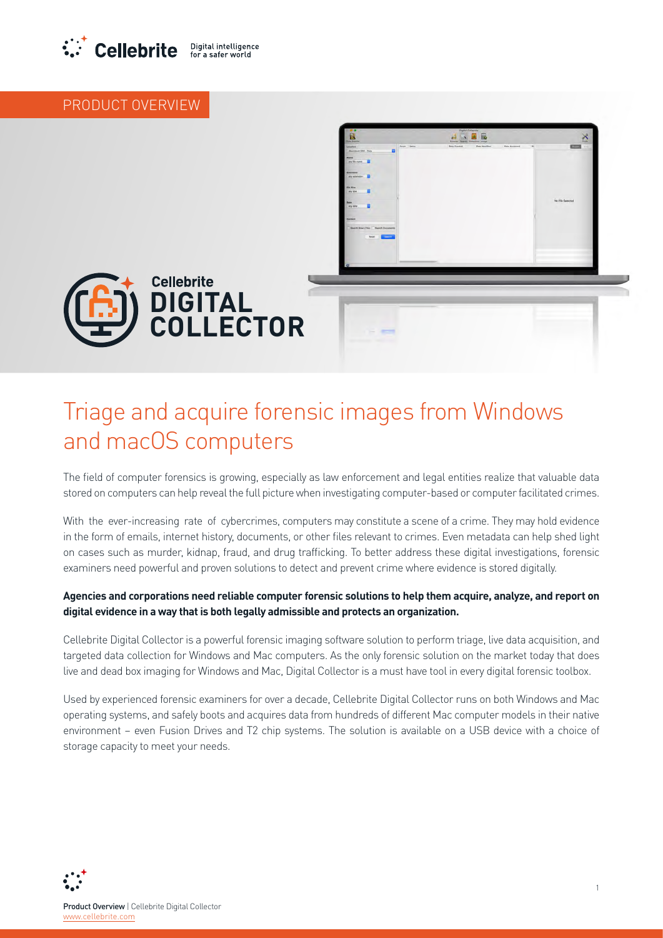

### PRODUCT OVERVIEW



# Triage and acquire forensic images from Windows and macOS computers

The field of computer forensics is growing, especially as law enforcement and legal entities realize that valuable data stored on computers can help reveal the full picture when investigating computer-based or computer facilitated crimes.

With the ever-increasing rate of cybercrimes, computers may constitute a scene of a crime. They may hold evidence in the form of emails, internet history, documents, or other files relevant to crimes. Even metadata can help shed light on cases such as murder, kidnap, fraud, and drug trafficking. To better address these digital investigations, forensic examiners need powerful and proven solutions to detect and prevent crime where evidence is stored digitally.

#### Agencies and corporations need reliable computer forensic solutions to help them acquire, analyze, and report on digital evidence in a way that is both legally admissible and protects an organization.

Cellebrite Digital Collector is a powerful forensic imaging software solution to perform triage, live data acquisition, and targeted data collection for Windows and Mac computers. As the only forensic solution on the market today that does live and dead box imaging for Windows and Mac, Digital Collector is a must have tool in every digital forensic toolbox.

Used by experienced forensic examiners for over a decade, Cellebrite Digital Collector runs on both Windows and Mac operating systems, and safely boots and acquires data from hundreds of different Mac computer models in their native environment - even Fusion Drives and T2 chip systems. The solution is available on a USB device with a choice of storage capacity to meet your needs.